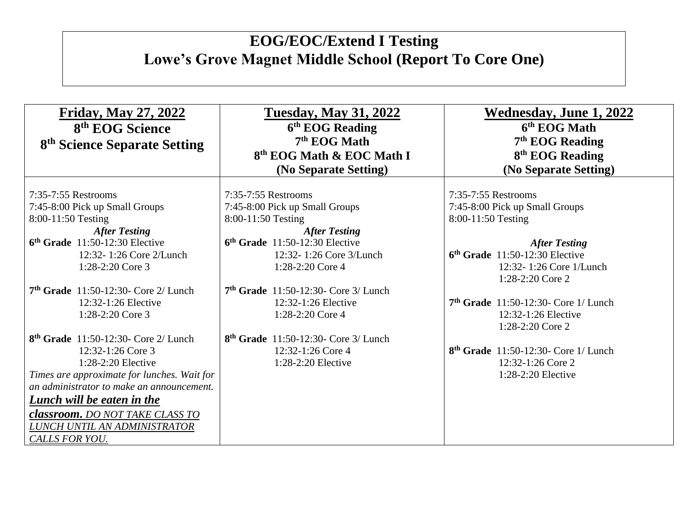| <b>Friday, May 27, 2022</b><br>8 <sup>th</sup> EOG Science<br>8 <sup>th</sup> Science Separate Setting                                                                                                                                                                                                    | <b>Tuesday, May 31, 2022</b><br>6 <sup>th</sup> EOG Reading<br>$7th$ EOG Math<br>8 <sup>th</sup> EOG Math & EOC Math I<br>(No Separate Setting)                    | <b>Wednesday, June 1, 2022</b><br>6 <sup>th</sup> EOG Math<br>$7th$ EOG Reading<br>8 <sup>th</sup> EOG Reading<br>(No Separate Setting) |  |
|-----------------------------------------------------------------------------------------------------------------------------------------------------------------------------------------------------------------------------------------------------------------------------------------------------------|--------------------------------------------------------------------------------------------------------------------------------------------------------------------|-----------------------------------------------------------------------------------------------------------------------------------------|--|
| 7:35-7:55 Restrooms<br>7:45-8:00 Pick up Small Groups<br>8:00-11:50 Testing<br><b>After Testing</b><br>$6th$ Grade 11:50-12:30 Elective<br>12:32-1:26 Core 2/Lunch                                                                                                                                        | 7:35-7:55 Restrooms<br>7:45-8:00 Pick up Small Groups<br>8:00-11:50 Testing<br><b>After Testing</b><br>$6th$ Grade 11:50-12:30 Elective<br>12:32-1:26 Core 3/Lunch | 7:35-7:55 Restrooms<br>7:45-8:00 Pick up Small Groups<br>8:00-11:50 Testing<br><b>After Testing</b><br>$6th$ Grade 11:50-12:30 Elective |  |
| 1:28-2:20 Core 3<br>$7th$ Grade 11:50-12:30- Core 2/ Lunch                                                                                                                                                                                                                                                | 1:28-2:20 Core 4<br>$7th$ Grade 11:50-12:30- Core 3/ Lunch                                                                                                         | 12:32-1:26 Core 1/Lunch<br>1:28-2:20 Core 2                                                                                             |  |
| 12:32-1:26 Elective<br>1:28-2:20 Core 3                                                                                                                                                                                                                                                                   | 12:32-1:26 Elective<br>1:28-2:20 Core 4                                                                                                                            | $7th$ Grade 11:50-12:30- Core 1/ Lunch<br>12:32-1:26 Elective<br>1:28-2:20 Core 2                                                       |  |
| $8th$ Grade 11:50-12:30- Core 2/ Lunch<br>12:32-1:26 Core 3<br>$1:28-2:20$ Elective<br>Times are approximate for lunches. Wait for<br>an administrator to make an announcement.<br>Lunch will be eaten in the<br><b>classroom.</b> DO NOT TAKE CLASS TO<br>LUNCH UNTIL AN ADMINISTRATOR<br>CALLS FOR YOU. | $8th$ Grade 11:50-12:30- Core 3/ Lunch<br>12:32-1:26 Core 4<br>$1:28-2:20$ Elective                                                                                | 8 <sup>th</sup> Grade 11:50-12:30- Core 1/ Lunch<br>12:32-1:26 Core 2<br>$1:28-2:20$ Elective                                           |  |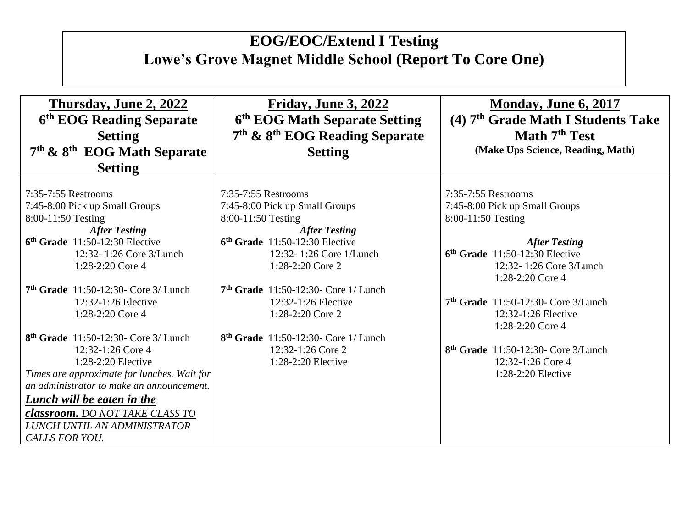| Thursday, June 2, 2022<br>6 <sup>th</sup> EOG Reading Separate<br><b>Setting</b>                                                                                                                                                                                                                                    | Friday, June 3, 2022<br>6th EOG Math Separate Setting<br>7 <sup>th</sup> & 8 <sup>th</sup> EOG Reading Separate                                                                                                                                         | Monday, June 6, 2017<br>(4) 7 <sup>th</sup> Grade Math I Students Take<br>Math 7 <sup>th</sup> Test                                                                                                                             |  |
|---------------------------------------------------------------------------------------------------------------------------------------------------------------------------------------------------------------------------------------------------------------------------------------------------------------------|---------------------------------------------------------------------------------------------------------------------------------------------------------------------------------------------------------------------------------------------------------|---------------------------------------------------------------------------------------------------------------------------------------------------------------------------------------------------------------------------------|--|
| $7th$ & $8th$ EOG Math Separate                                                                                                                                                                                                                                                                                     | <b>Setting</b>                                                                                                                                                                                                                                          | (Make Ups Science, Reading, Math)                                                                                                                                                                                               |  |
| <b>Setting</b>                                                                                                                                                                                                                                                                                                      |                                                                                                                                                                                                                                                         |                                                                                                                                                                                                                                 |  |
| 7:35-7:55 Restrooms<br>7:45-8:00 Pick up Small Groups<br>8:00-11:50 Testing<br><b>After Testing</b><br>$6th$ Grade 11:50-12:30 Elective<br>12:32-1:26 Core 3/Lunch<br>1:28-2:20 Core 4<br>$7th$ Grade 11:50-12:30- Core 3/ Lunch<br>12:32-1:26 Elective                                                             | 7:35-7:55 Restrooms<br>7:45-8:00 Pick up Small Groups<br>8:00-11:50 Testing<br><b>After Testing</b><br>$6th$ Grade 11:50-12:30 Elective<br>12:32-1:26 Core 1/Lunch<br>1:28-2:20 Core 2<br>$7th$ Grade 11:50-12:30- Core 1/ Lunch<br>12:32-1:26 Elective | 7:35-7:55 Restrooms<br>7:45-8:00 Pick up Small Groups<br>8:00-11:50 Testing<br><b>After Testing</b><br>$6th$ Grade 11:50-12:30 Elective<br>12:32-1:26 Core 3/Lunch<br>1:28-2:20 Core 4<br>$7th$ Grade 11:50-12:30- Core 3/Lunch |  |
| 1:28-2:20 Core 4                                                                                                                                                                                                                                                                                                    | 1:28-2:20 Core 2                                                                                                                                                                                                                                        | 12:32-1:26 Elective<br>1:28-2:20 Core 4                                                                                                                                                                                         |  |
| 8 <sup>th</sup> Grade 11:50-12:30- Core 3/ Lunch<br>12:32-1:26 Core 4<br>$1:28-2:20$ Elective<br>Times are approximate for lunches. Wait for<br>an administrator to make an announcement.<br>Lunch will be eaten in the<br><b>classroom.</b> DO NOT TAKE CLASS TO<br>LUNCH UNTIL AN ADMINISTRATOR<br>CALLS FOR YOU. | 8 <sup>th</sup> Grade 11:50-12:30- Core 1/ Lunch<br>12:32-1:26 Core 2<br>$1:28-2:20$ Elective                                                                                                                                                           | $8th$ Grade 11:50-12:30- Core 3/Lunch<br>12:32-1:26 Core 4<br>1:28-2:20 Elective                                                                                                                                                |  |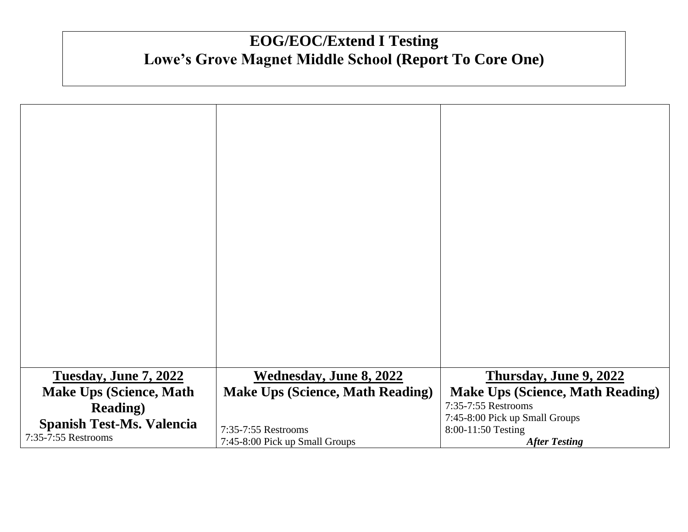| <b>Tuesday, June 7, 2022</b>     | <b>Wednesday, June 8, 2022</b>          | Thursday, June 9, 2022                  |
|----------------------------------|-----------------------------------------|-----------------------------------------|
| <b>Make Ups (Science, Math</b>   | <b>Make Ups (Science, Math Reading)</b> | <b>Make Ups (Science, Math Reading)</b> |
| <b>Reading</b> )                 |                                         | 7:35-7:55 Restrooms                     |
|                                  |                                         | 7:45-8:00 Pick up Small Groups          |
| <b>Spanish Test-Ms. Valencia</b> | 7:35-7:55 Restrooms                     | 8:00-11:50 Testing                      |
| 7:35-7:55 Restrooms              | 7:45-8:00 Pick up Small Groups          | <b>After Testing</b>                    |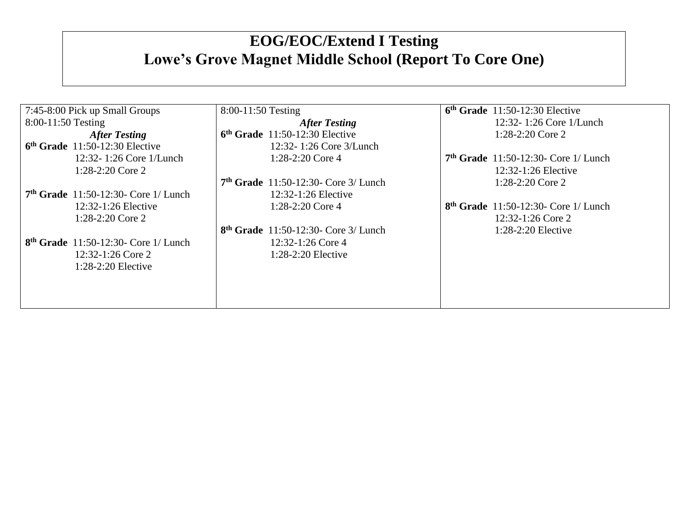| 7:45-8:00 Pick up Small Groups         | $8:00-11:50$ Testing                   | $6th$ Grade 11:50-12:30 Elective       |
|----------------------------------------|----------------------------------------|----------------------------------------|
| $8:00-11:50$ Testing                   | <b>After Testing</b>                   | 12:32-1:26 Core 1/Lunch                |
| <b>After Testing</b>                   | $6th$ Grade 11:50-12:30 Elective       | $1:28-2:20$ Core 2                     |
| $6th$ Grade 11:50-12:30 Elective       | 12:32-1:26 Core 3/Lunch                |                                        |
| 12:32-1:26 Core 1/Lunch                | 1:28-2:20 Core 4                       | $7th$ Grade 11:50-12:30- Core 1/ Lunch |
| $1:28-2:20$ Core 2                     |                                        | $12:32-1:26$ Elective                  |
|                                        | $7th$ Grade 11:50-12:30- Core 3/ Lunch | $1:28-2:20$ Core 2                     |
| $7th$ Grade 11:50-12:30- Core 1/ Lunch | $12:32-1:26$ Elective                  |                                        |
| $12:32-1:26$ Elective                  | $1:28-2:20$ Core 4                     | $8th$ Grade 11:50-12:30- Core 1/ Lunch |
| 1:28-2:20 Core 2                       |                                        | $12:32-1:26$ Core 2                    |
|                                        | $8th$ Grade 11:50-12:30- Core 3/ Lunch | $1:28-2:20$ Elective                   |
| $8th$ Grade 11:50-12:30- Core 1/ Lunch | 12:32-1:26 Core 4                      |                                        |
| 12:32-1:26 Core 2                      | $1:28-2:20$ Elective                   |                                        |
| $1:28-2:20$ Elective                   |                                        |                                        |
|                                        |                                        |                                        |
|                                        |                                        |                                        |
|                                        |                                        |                                        |